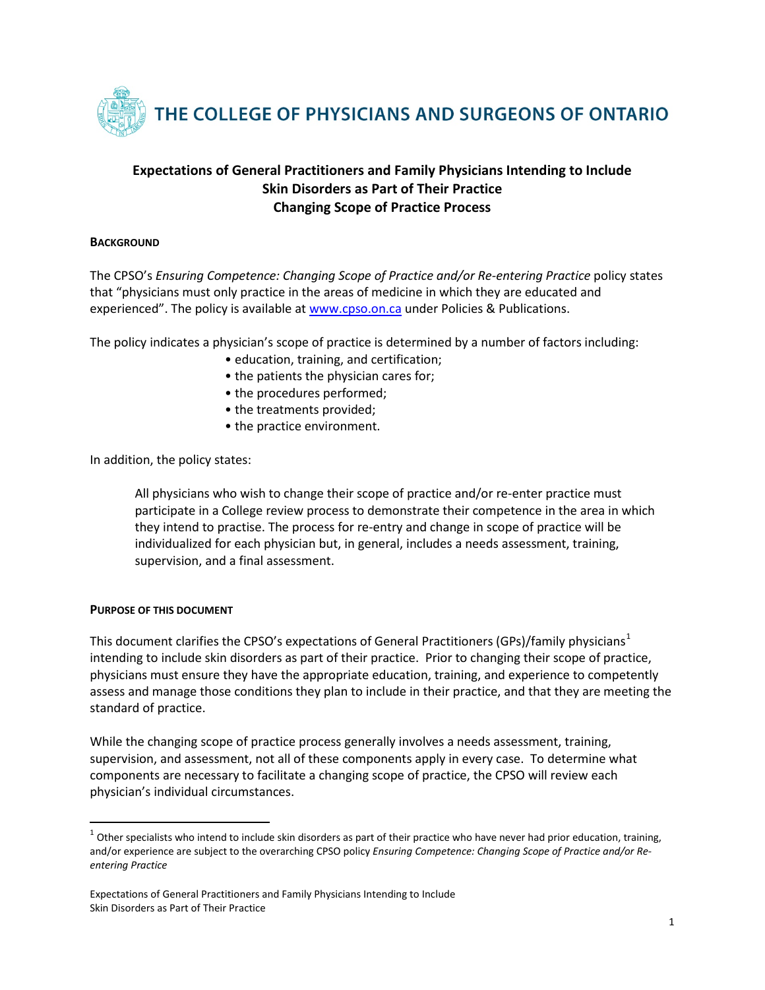

# **Expectations of General Practitioners and Family Physicians Intending to Include Skin Disorders as Part of Their Practice Changing Scope of Practice Process**

#### **BACKGROUND**

The CPSO's *Ensuring Competence: Changing Scope of Practice and/or Re-entering Practice* policy states that "physicians must only practice in the areas of medicine in which they are educated and experienced". The policy is available a[t www.cpso.on.ca](http://www.cpso.on.ca/) under Policies & Publications.

The policy indicates a physician's scope of practice is determined by a number of factors including:

- education, training, and certification;
- the patients the physician cares for;
- the procedures performed;
- the treatments provided;
- the practice environment.

In addition, the policy states:

All physicians who wish to change their scope of practice and/or re-enter practice must participate in a College review process to demonstrate their competence in the area in which they intend to practise. The process for re-entry and change in scope of practice will be individualized for each physician but, in general, includes a needs assessment, training, supervision, and a final assessment.

#### **PURPOSE OF THIS DOCUMENT**

This document clarifies the CPSO's expectations of General Practitioners (GPs)/family physicians<sup>[1](#page-0-0)</sup> intending to include skin disorders as part of their practice. Prior to changing their scope of practice, physicians must ensure they have the appropriate education, training, and experience to competently assess and manage those conditions they plan to include in their practice, and that they are meeting the standard of practice.

While the changing scope of practice process generally involves a needs assessment, training, supervision, and assessment, not all of these components apply in every case. To determine what components are necessary to facilitate a changing scope of practice, the CPSO will review each physician's individual circumstances.

<span id="page-0-0"></span> $1$  Other specialists who intend to include skin disorders as part of their practice who have never had prior education, training, and/or experience are subject to the overarching CPSO policy *Ensuring Competence: Changing Scope of Practice and/or Reentering Practice*

Expectations of General Practitioners and Family Physicians Intending to Include Skin Disorders as Part of Their Practice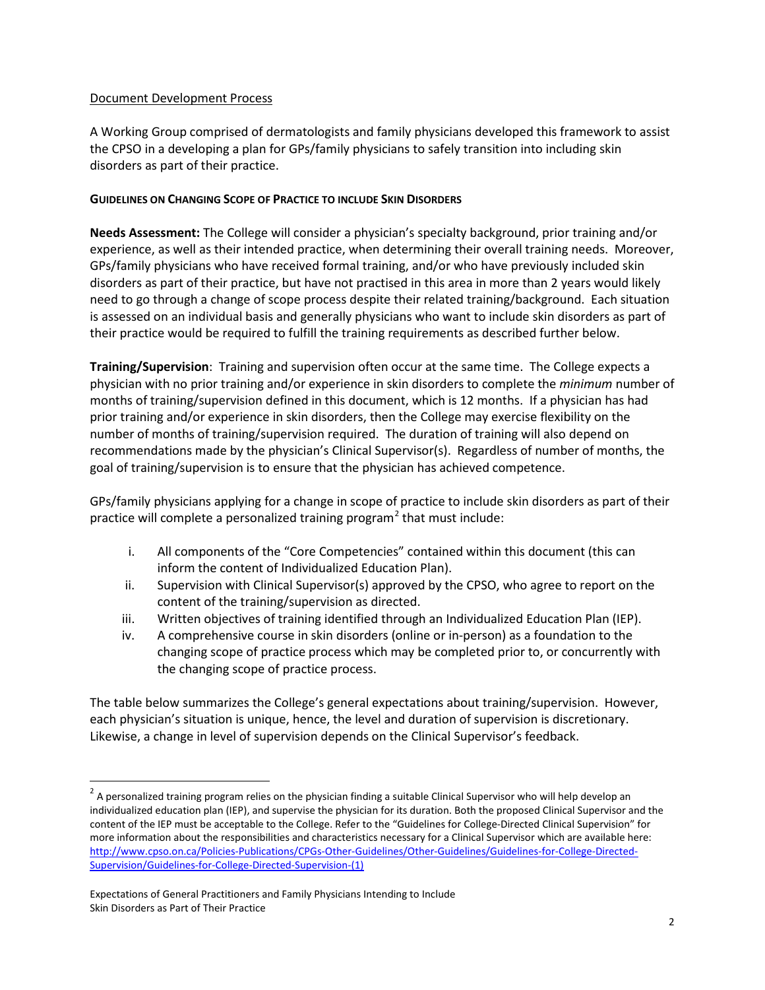### Document Development Process

A Working Group comprised of dermatologists and family physicians developed this framework to assist the CPSO in a developing a plan for GPs/family physicians to safely transition into including skin disorders as part of their practice.

### **GUIDELINES ON CHANGING SCOPE OF PRACTICE TO INCLUDE SKIN DISORDERS**

**Needs Assessment:** The College will consider a physician's specialty background, prior training and/or experience, as well as their intended practice, when determining their overall training needs. Moreover, GPs/family physicians who have received formal training, and/or who have previously included skin disorders as part of their practice, but have not practised in this area in more than 2 years would likely need to go through a change of scope process despite their related training/background. Each situation is assessed on an individual basis and generally physicians who want to include skin disorders as part of their practice would be required to fulfill the training requirements as described further below.

**Training/Supervision**: Training and supervision often occur at the same time. The College expects a physician with no prior training and/or experience in skin disorders to complete the *minimum* number of months of training/supervision defined in this document, which is 12 months. If a physician has had prior training and/or experience in skin disorders, then the College may exercise flexibility on the number of months of training/supervision required. The duration of training will also depend on recommendations made by the physician's Clinical Supervisor(s). Regardless of number of months, the goal of training/supervision is to ensure that the physician has achieved competence.

GPs/family physicians applying for a change in scope of practice to include skin disorders as part of their practice will complete a personalized training program<sup>[2](#page-1-0)</sup> that must include:

- i. All components of the "Core Competencies" contained within this document (this can inform the content of Individualized Education Plan).
- ii. Supervision with Clinical Supervisor(s) approved by the CPSO, who agree to report on the content of the training/supervision as directed.
- iii. Written objectives of training identified through an Individualized Education Plan (IEP).
- iv. A comprehensive course in skin disorders (online or in-person) as a foundation to the changing scope of practice process which may be completed prior to, or concurrently with the changing scope of practice process.

The table below summarizes the College's general expectations about training/supervision. However, each physician's situation is unique, hence, the level and duration of supervision is discretionary. Likewise, a change in level of supervision depends on the Clinical Supervisor's feedback.

<span id="page-1-0"></span> $2$  A personalized training program relies on the physician finding a suitable Clinical Supervisor who will help develop an individualized education plan (IEP), and supervise the physician for its duration. Both the proposed Clinical Supervisor and the content of the IEP must be acceptable to the College. Refer to the "Guidelines for College-Directed Clinical Supervision" for more information about the responsibilities and characteristics necessary for a Clinical Supervisor which are available here: [http://www.cpso.on.ca/Policies-Publications/CPGs-Other-Guidelines/Other-Guidelines/Guidelines-for-College-Directed-](http://www.cpso.on.ca/Policies-Publications/CPGs-Other-Guidelines/Other-Guidelines/Guidelines-for-College-Directed-Supervision/Guidelines-for-College-Directed-Supervision-(1))[Supervision/Guidelines-for-College-Directed-Supervision-\(1\)](http://www.cpso.on.ca/Policies-Publications/CPGs-Other-Guidelines/Other-Guidelines/Guidelines-for-College-Directed-Supervision/Guidelines-for-College-Directed-Supervision-(1))

Expectations of General Practitioners and Family Physicians Intending to Include Skin Disorders as Part of Their Practice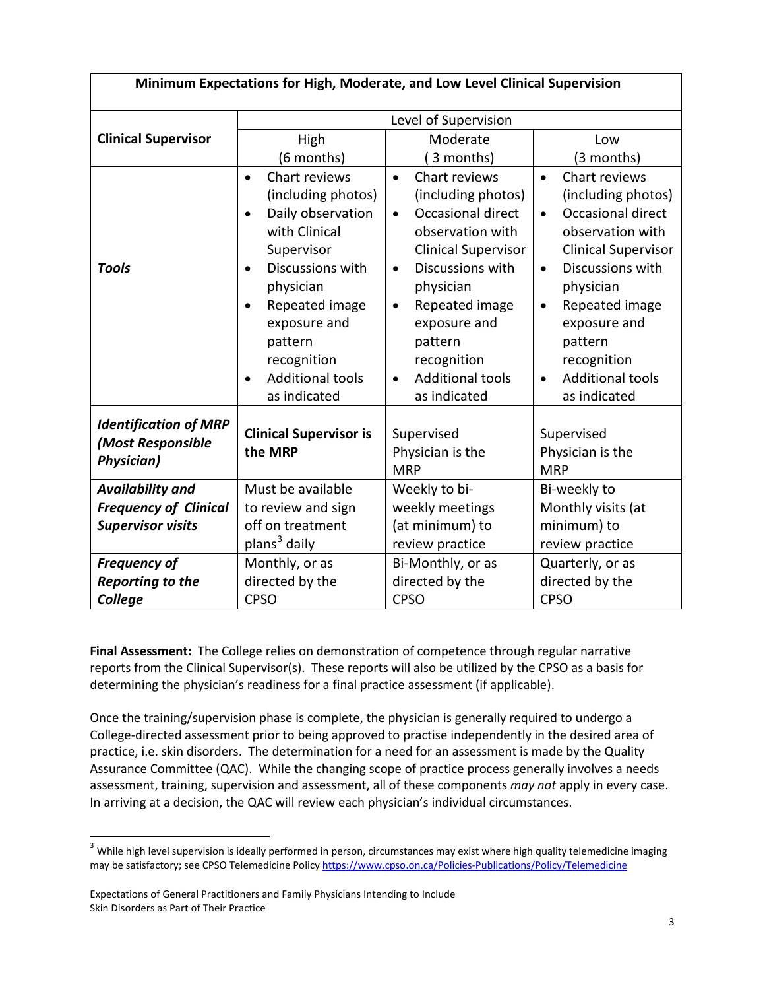| Minimum Expectations for High, Moderate, and Low Level Clinical Supervision |                                                                                                                                                                                                                                                                                                  |                                                                                                                                                                                                                                                                                                                     |                                                                                                                                                                                                                                                                                                                     |  |
|-----------------------------------------------------------------------------|--------------------------------------------------------------------------------------------------------------------------------------------------------------------------------------------------------------------------------------------------------------------------------------------------|---------------------------------------------------------------------------------------------------------------------------------------------------------------------------------------------------------------------------------------------------------------------------------------------------------------------|---------------------------------------------------------------------------------------------------------------------------------------------------------------------------------------------------------------------------------------------------------------------------------------------------------------------|--|
|                                                                             | Level of Supervision                                                                                                                                                                                                                                                                             |                                                                                                                                                                                                                                                                                                                     |                                                                                                                                                                                                                                                                                                                     |  |
| <b>Clinical Supervisor</b>                                                  | High                                                                                                                                                                                                                                                                                             | Moderate                                                                                                                                                                                                                                                                                                            | Low                                                                                                                                                                                                                                                                                                                 |  |
|                                                                             | (6 months)                                                                                                                                                                                                                                                                                       | 3 months)                                                                                                                                                                                                                                                                                                           | (3 months)                                                                                                                                                                                                                                                                                                          |  |
| <b>Tools</b>                                                                | Chart reviews<br>$\bullet$<br>(including photos)<br>Daily observation<br>$\bullet$<br>with Clinical<br>Supervisor<br>Discussions with<br>$\bullet$<br>physician<br>Repeated image<br>$\bullet$<br>exposure and<br>pattern<br>recognition<br><b>Additional tools</b><br>$\bullet$<br>as indicated | Chart reviews<br>$\bullet$<br>(including photos)<br>Occasional direct<br>$\bullet$<br>observation with<br><b>Clinical Supervisor</b><br>Discussions with<br>$\bullet$<br>physician<br>Repeated image<br>$\bullet$<br>exposure and<br>pattern<br>recognition<br><b>Additional tools</b><br>$\bullet$<br>as indicated | Chart reviews<br>$\bullet$<br>(including photos)<br>Occasional direct<br>$\bullet$<br>observation with<br><b>Clinical Supervisor</b><br>Discussions with<br>$\bullet$<br>physician<br>Repeated image<br>$\bullet$<br>exposure and<br>pattern<br>recognition<br><b>Additional tools</b><br>$\bullet$<br>as indicated |  |
| <b>Identification of MRP</b><br>(Most Responsible<br><b>Physician)</b>      | <b>Clinical Supervisor is</b><br>the MRP                                                                                                                                                                                                                                                         | Supervised<br>Physician is the<br><b>MRP</b>                                                                                                                                                                                                                                                                        | Supervised<br>Physician is the<br><b>MRP</b>                                                                                                                                                                                                                                                                        |  |
| <b>Availability and</b>                                                     | Must be available                                                                                                                                                                                                                                                                                | Weekly to bi-                                                                                                                                                                                                                                                                                                       | Bi-weekly to                                                                                                                                                                                                                                                                                                        |  |
| <b>Frequency of Clinical</b>                                                | to review and sign                                                                                                                                                                                                                                                                               | weekly meetings                                                                                                                                                                                                                                                                                                     | Monthly visits (at                                                                                                                                                                                                                                                                                                  |  |
| <b>Supervisor visits</b>                                                    | off on treatment                                                                                                                                                                                                                                                                                 | (at minimum) to                                                                                                                                                                                                                                                                                                     | minimum) to                                                                                                                                                                                                                                                                                                         |  |
|                                                                             | plans <sup>3</sup> daily                                                                                                                                                                                                                                                                         | review practice                                                                                                                                                                                                                                                                                                     | review practice                                                                                                                                                                                                                                                                                                     |  |
| <b>Frequency of</b>                                                         | Monthly, or as                                                                                                                                                                                                                                                                                   | Bi-Monthly, or as                                                                                                                                                                                                                                                                                                   | Quarterly, or as                                                                                                                                                                                                                                                                                                    |  |
| <b>Reporting to the</b>                                                     | directed by the                                                                                                                                                                                                                                                                                  | directed by the                                                                                                                                                                                                                                                                                                     | directed by the                                                                                                                                                                                                                                                                                                     |  |
| College                                                                     | <b>CPSO</b>                                                                                                                                                                                                                                                                                      | <b>CPSO</b>                                                                                                                                                                                                                                                                                                         | <b>CPSO</b>                                                                                                                                                                                                                                                                                                         |  |

**Final Assessment:** The College relies on demonstration of competence through regular narrative reports from the Clinical Supervisor(s). These reports will also be utilized by the CPSO as a basis for determining the physician's readiness for a final practice assessment (if applicable).

Once the training/supervision phase is complete, the physician is generally required to undergo a College-directed assessment prior to being approved to practise independently in the desired area of practice, i.e. skin disorders. The determination for a need for an assessment is made by the Quality Assurance Committee (QAC). While the changing scope of practice process generally involves a needs assessment, training, supervision and assessment, all of these components *may not* apply in every case. In arriving at a decision, the QAC will review each physician's individual circumstances.

<span id="page-2-0"></span> $3$  While high level supervision is ideally performed in person, circumstances may exist where high quality telemedicine imaging may be satisfactory; see CPSO Telemedicine Polic[y https://www.cpso.on.ca/Policies-Publications/Policy/Telemedicine](https://www.cpso.on.ca/Policies-Publications/Policy/Telemedicine)

Expectations of General Practitioners and Family Physicians Intending to Include Skin Disorders as Part of Their Practice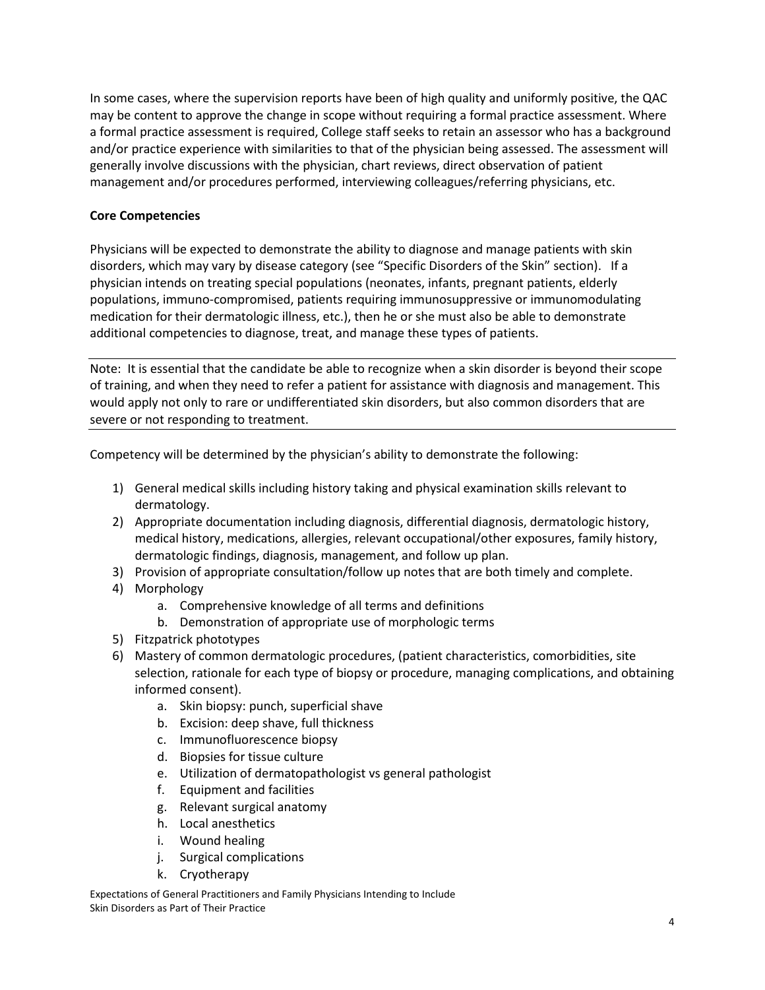In some cases, where the supervision reports have been of high quality and uniformly positive, the QAC may be content to approve the change in scope without requiring a formal practice assessment. Where a formal practice assessment is required, College staff seeks to retain an assessor who has a background and/or practice experience with similarities to that of the physician being assessed. The assessment will generally involve discussions with the physician, chart reviews, direct observation of patient management and/or procedures performed, interviewing colleagues/referring physicians, etc.

### **Core Competencies**

Physicians will be expected to demonstrate the ability to diagnose and manage patients with skin disorders, which may vary by disease category (see "Specific Disorders of the Skin" section). If a physician intends on treating special populations (neonates, infants, pregnant patients, elderly populations, immuno-compromised, patients requiring immunosuppressive or immunomodulating medication for their dermatologic illness, etc.), then he or she must also be able to demonstrate additional competencies to diagnose, treat, and manage these types of patients.

Note: It is essential that the candidate be able to recognize when a skin disorder is beyond their scope of training, and when they need to refer a patient for assistance with diagnosis and management. This would apply not only to rare or undifferentiated skin disorders, but also common disorders that are severe or not responding to treatment.

Competency will be determined by the physician's ability to demonstrate the following:

- 1) General medical skills including history taking and physical examination skills relevant to dermatology.
- 2) Appropriate documentation including diagnosis, differential diagnosis, dermatologic history, medical history, medications, allergies, relevant occupational/other exposures, family history, dermatologic findings, diagnosis, management, and follow up plan.
- 3) Provision of appropriate consultation/follow up notes that are both timely and complete.
- 4) Morphology
	- a. Comprehensive knowledge of all terms and definitions
	- b. Demonstration of appropriate use of morphologic terms
- 5) Fitzpatrick phototypes
- 6) Mastery of common dermatologic procedures, (patient characteristics, comorbidities, site selection, rationale for each type of biopsy or procedure, managing complications, and obtaining informed consent).
	- a. Skin biopsy: punch, superficial shave
	- b. Excision: deep shave, full thickness
	- c. Immunofluorescence biopsy
	- d. Biopsies for tissue culture
	- e. Utilization of dermatopathologist vs general pathologist
	- f. Equipment and facilities
	- g. Relevant surgical anatomy
	- h. Local anesthetics
	- i. Wound healing
	- j. Surgical complications
	- k. Cryotherapy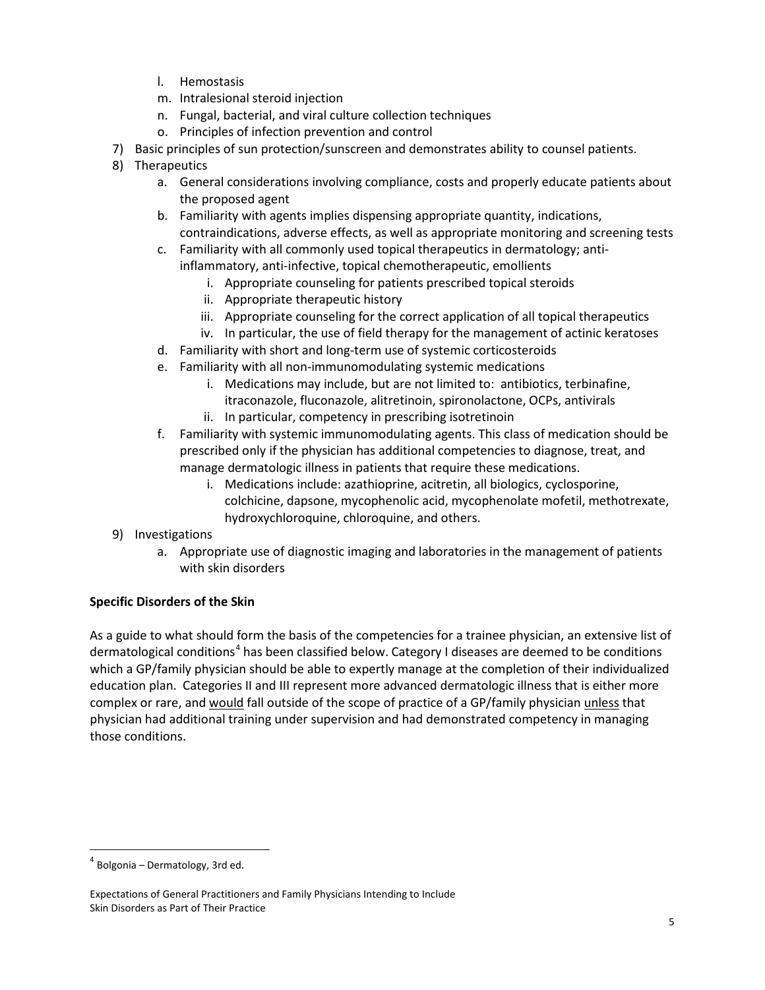- l. Hemostasis
- m. Intralesional steroid injection
- n. Fungal, bacterial, and viral culture collection techniques
- o. Principles of infection prevention and control
- 7) Basic principles of sun protection/sunscreen and demonstrates ability to counsel patients.
- 8) Therapeutics
	- a. General considerations involving compliance, costs and properly educate patients about the proposed agent
	- b. Familiarity with agents implies dispensing appropriate quantity, indications, contraindications, adverse effects, as well as appropriate monitoring and screening tests
	- c. Familiarity with all commonly used topical therapeutics in dermatology; antiinflammatory, anti-infective, topical chemotherapeutic, emollients
		- - i. Appropriate counseling for patients prescribed topical steroids
		- ii. Appropriate therapeutic history
		- iii. Appropriate counseling for the correct application of all topical therapeutics
		- iv. In particular, the use of field therapy for the management of actinic keratoses
	- d. Familiarity with short and long-term use of systemic corticosteroids
	- e. Familiarity with all non-immunomodulating systemic medications
		- i. Medications may include, but are not limited to: antibiotics, terbinafine, itraconazole, fluconazole, alitretinoin, spironolactone, OCPs, antivirals
		- ii. In particular, competency in prescribing isotretinoin
	- f. Familiarity with systemic immunomodulating agents. This class of medication should be prescribed only if the physician has additional competencies to diagnose, treat, and manage dermatologic illness in patients that require these medications.
		- i. Medications include: azathioprine, acitretin, all biologics, cyclosporine, colchicine, dapsone, mycophenolic acid, mycophenolate mofetil, methotrexate, hydroxychloroquine, chloroquine, and others.
- 9) Investigations
	- a. Appropriate use of diagnostic imaging and laboratories in the management of patients with skin disorders

## **Specific Disorders of the Skin**

As a guide to what should form the basis of the competencies for a trainee physician, an extensive list of dermatological conditions<sup>[4](#page-4-0)</sup> has been classified below. Category I diseases are deemed to be conditions which a GP/family physician should be able to expertly manage at the completion of their individualized education plan. Categories II and III represent more advanced dermatologic illness that is either more complex or rare, and would fall outside of the scope of practice of a GP/family physician unless that physician had additional training under supervision and had demonstrated competency in managing those conditions.

<span id="page-4-0"></span> $4$  Bolgonia – Dermatology, 3rd ed.

Expectations of General Practitioners and Family Physicians Intending to Include Skin Disorders as Part of Their Practice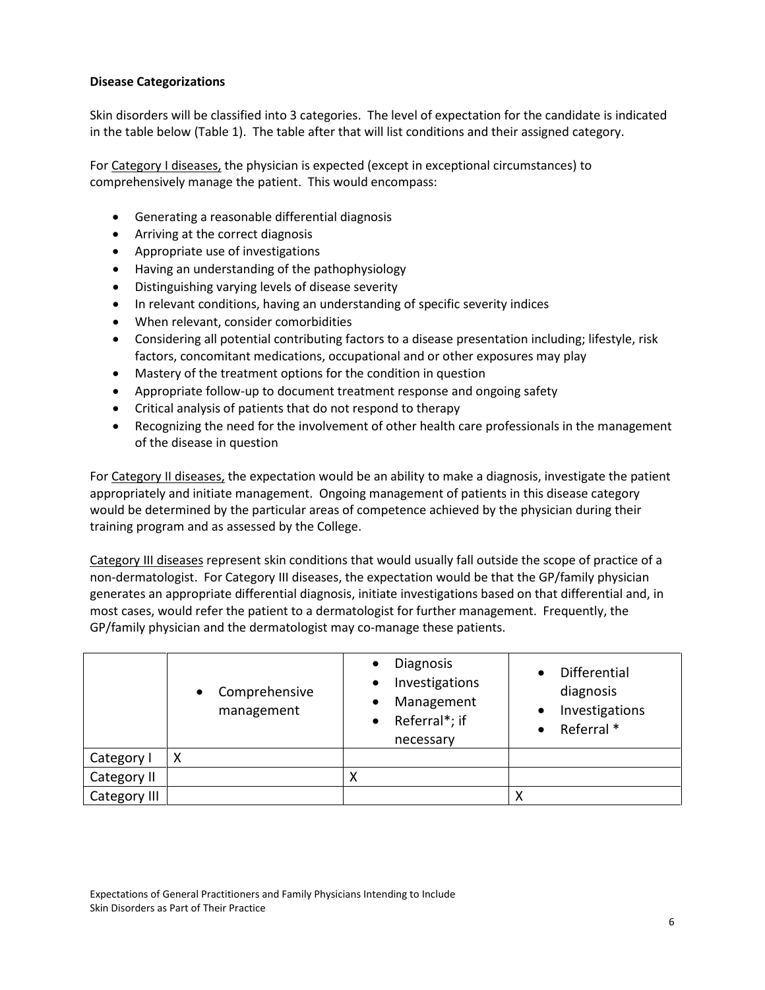### **Disease Categorizations**

Skin disorders will be classified into 3 categories. The level of expectation for the candidate is indicated in the table below (Table 1). The table after that will list conditions and their assigned category.

For Category I diseases, the physician is expected (except in exceptional circumstances) to comprehensively manage the patient. This would encompass:

- Generating a reasonable differential diagnosis
- Arriving at the correct diagnosis
- Appropriate use of investigations
- Having an understanding of the pathophysiology
- Distinguishing varying levels of disease severity
- In relevant conditions, having an understanding of specific severity indices
- When relevant, consider comorbidities
- Considering all potential contributing factors to a disease presentation including; lifestyle, risk factors, concomitant medications, occupational and or other exposures may play
- Mastery of the treatment options for the condition in question
- Appropriate follow-up to document treatment response and ongoing safety
- Critical analysis of patients that do not respond to therapy
- Recognizing the need for the involvement of other health care professionals in the management of the disease in question

For Category II diseases, the expectation would be an ability to make a diagnosis, investigate the patient appropriately and initiate management. Ongoing management of patients in this disease category would be determined by the particular areas of competence achieved by the physician during their training program and as assessed by the College.

Category III diseases represent skin conditions that would usually fall outside the scope of practice of a non-dermatologist. For Category III diseases, the expectation would be that the GP/family physician generates an appropriate differential diagnosis, initiate investigations based on that differential and, in most cases, would refer the patient to a dermatologist for further management. Frequently, the GP/family physician and the dermatologist may co-manage these patients.

|              | Comprehensive<br>$\bullet$<br>management | <b>Diagnosis</b><br>$\bullet$<br>Investigations<br>$\bullet$<br>Management<br>٠<br>Referral*; if<br>$\bullet$<br>necessary | Differential<br>diagnosis<br>Investigations<br>$\bullet$<br>Referral * |
|--------------|------------------------------------------|----------------------------------------------------------------------------------------------------------------------------|------------------------------------------------------------------------|
| Category I   | χ                                        |                                                                                                                            |                                                                        |
| Category II  |                                          |                                                                                                                            |                                                                        |
| Category III |                                          |                                                                                                                            | X                                                                      |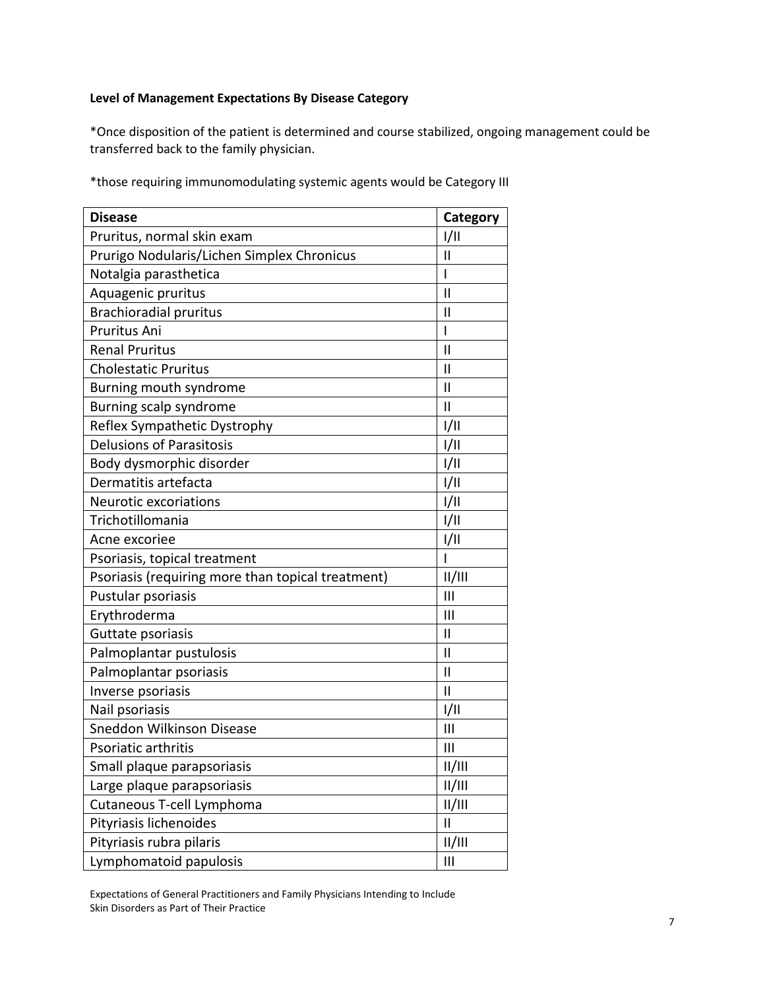# **Level of Management Expectations By Disease Category**

\*Once disposition of the patient is determined and course stabilized, ongoing management could be transferred back to the family physician.

\*those requiring immunomodulating systemic agents would be Category III

| <b>Disease</b>                                    | Category       |
|---------------------------------------------------|----------------|
| Pruritus, normal skin exam                        | 1/11           |
| Prurigo Nodularis/Lichen Simplex Chronicus        | $\mathsf{II}$  |
| Notalgia parasthetica                             | I              |
| Aquagenic pruritus                                | $\mathbf{I}$   |
| <b>Brachioradial pruritus</b>                     | $\mathbf{I}$   |
| Pruritus Ani                                      | I              |
| <b>Renal Pruritus</b>                             | $\mathsf{II}$  |
| <b>Cholestatic Pruritus</b>                       | Ш              |
| Burning mouth syndrome                            | $\mathsf{II}$  |
| Burning scalp syndrome                            | $\mathbf{II}$  |
| Reflex Sympathetic Dystrophy                      | 1/11           |
| <b>Delusions of Parasitosis</b>                   | 1/11           |
| Body dysmorphic disorder                          | 1/11           |
| Dermatitis artefacta                              | 1/11           |
| <b>Neurotic excoriations</b>                      | 1/11           |
| Trichotillomania                                  | 1/11           |
| Acne excoriee                                     | 1/11           |
| Psoriasis, topical treatment                      | $\overline{1}$ |
| Psoriasis (requiring more than topical treatment) | /              |
| Pustular psoriasis                                | $\mathbf{III}$ |
| Erythroderma                                      | $\mathsf{III}$ |
| Guttate psoriasis                                 | $\mathsf{II}$  |
| Palmoplantar pustulosis                           | $\mathbf{II}$  |
| Palmoplantar psoriasis                            | $\mathbf{I}$   |
| Inverse psoriasis                                 | $\mathbf{I}$   |
| Nail psoriasis                                    | 1/11           |
| Sneddon Wilkinson Disease                         | $\mathbf{III}$ |
| Psoriatic arthritis                               | Ш              |
| Small plaque parapsoriasis                        | /              |
| Large plaque parapsoriasis                        | II/III         |
| Cutaneous T-cell Lymphoma                         | II/III         |
| Pityriasis lichenoides                            | $\mathbf{I}$   |
| Pityriasis rubra pilaris                          | II/III         |
| Lymphomatoid papulosis                            | $\mathbf{III}$ |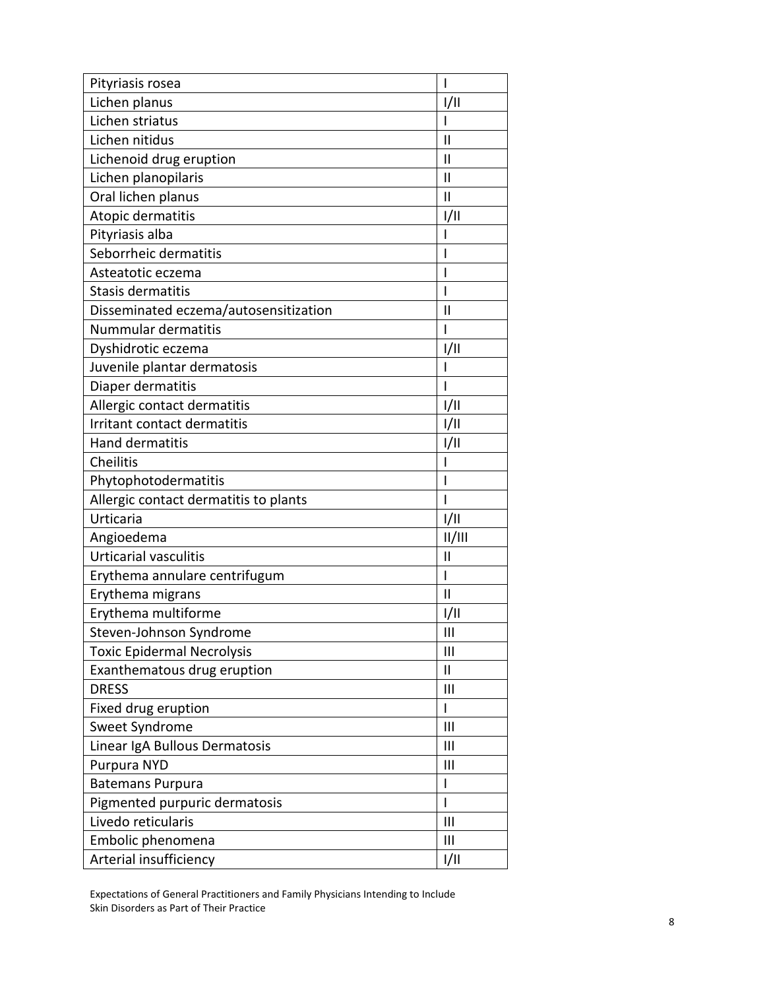| Pityriasis rosea                      | $\overline{\phantom{a}}$ |
|---------------------------------------|--------------------------|
| Lichen planus                         | 1/11                     |
| Lichen striatus                       | I                        |
| Lichen nitidus                        | $\mathsf{I}$             |
| Lichenoid drug eruption               | $\mathsf{II}$            |
| Lichen planopilaris                   | $\mathsf{II}$            |
| Oral lichen planus                    | $\mathbf{I}$             |
| Atopic dermatitis                     | 1/11                     |
| Pityriasis alba                       |                          |
| Seborrheic dermatitis                 |                          |
| Asteatotic eczema                     | I                        |
| Stasis dermatitis                     | I                        |
| Disseminated eczema/autosensitization | $\mathsf{II}$            |
| Nummular dermatitis                   | I                        |
| Dyshidrotic eczema                    | 1/11                     |
| Juvenile plantar dermatosis           |                          |
| Diaper dermatitis                     | I                        |
| Allergic contact dermatitis           | 1/11                     |
| Irritant contact dermatitis           | I/II                     |
| Hand dermatitis                       | 1/11                     |
| Cheilitis                             |                          |
| Phytophotodermatitis                  | $\mathsf{l}$             |
| Allergic contact dermatitis to plants | I                        |
| Urticaria                             | 1/11                     |
| Angioedema                            | /                        |
| <b>Urticarial vasculitis</b>          | $\mathsf{II}$            |
| Erythema annulare centrifugum         | L                        |
| Erythema migrans                      | $\mathbf{I}$             |
| Erythema multiforme                   | 1/11                     |
| Steven-Johnson Syndrome               | $\mathbf{III}$           |
| <b>Toxic Epidermal Necrolysis</b>     | Ш                        |
| Exanthematous drug eruption           | $\mathsf{II}$            |
| <b>DRESS</b>                          | Ш                        |
| Fixed drug eruption                   | $\mathsf{I}$             |
| Sweet Syndrome                        | Ш                        |
| Linear IgA Bullous Dermatosis         | Ш                        |
| Purpura NYD                           | Ш                        |
| <b>Batemans Purpura</b>               | $\overline{\phantom{a}}$ |
| Pigmented purpuric dermatosis         | $\mathsf{l}$             |
| Livedo reticularis                    | $\mathbf{III}$           |
| Embolic phenomena                     | Ш                        |
| Arterial insufficiency                | 1/11                     |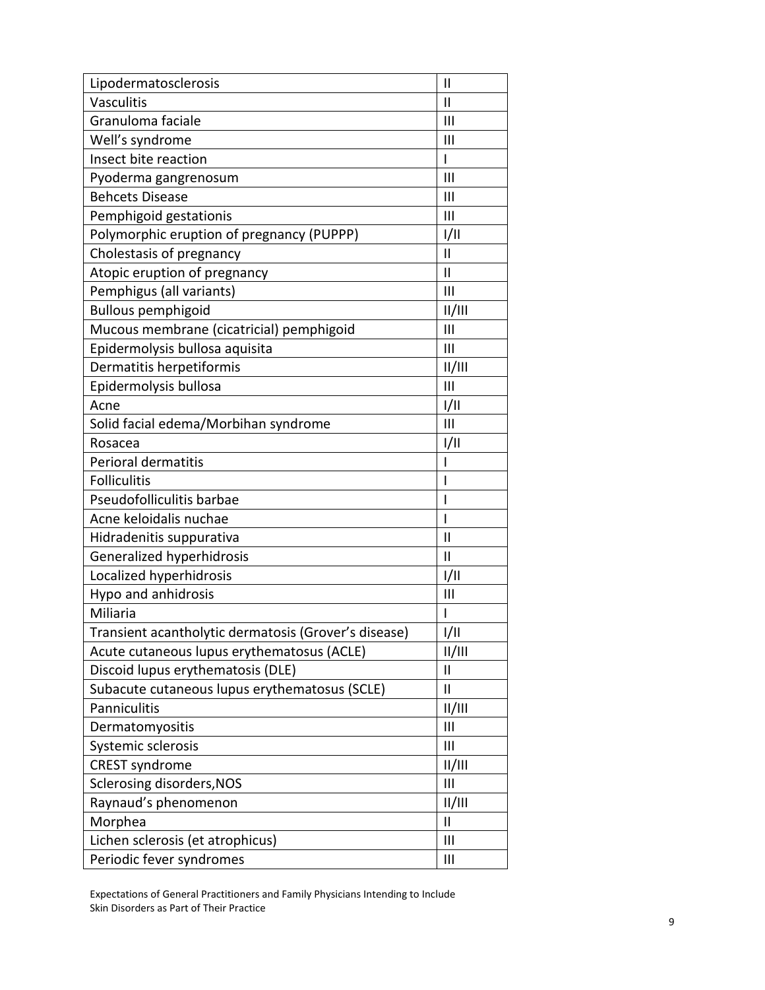| Lipodermatosclerosis                                 | $\mathbf{I}$   |
|------------------------------------------------------|----------------|
| Vasculitis                                           | $\mathsf{II}$  |
| Granuloma faciale                                    | III            |
| Well's syndrome                                      | Ш              |
| Insect bite reaction                                 | I              |
| Pyoderma gangrenosum                                 | Ш              |
| <b>Behcets Disease</b>                               | Ш              |
| Pemphigoid gestationis                               | Ш              |
| Polymorphic eruption of pregnancy (PUPPP)            | 1/11           |
| Cholestasis of pregnancy                             | $\mathsf{II}$  |
| Atopic eruption of pregnancy                         | $\mathsf{II}$  |
| Pemphigus (all variants)                             | Ш              |
| <b>Bullous pemphigoid</b>                            | /              |
| Mucous membrane (cicatricial) pemphigoid             | III            |
| Epidermolysis bullosa aquisita                       | Ш              |
| Dermatitis herpetiformis                             | II/III         |
| Epidermolysis bullosa                                | Ш              |
| Acne                                                 | 1/11           |
| Solid facial edema/Morbihan syndrome                 | Ш              |
| Rosacea                                              | 1/11           |
| Perioral dermatitis                                  |                |
| <b>Folliculitis</b>                                  | ı              |
| Pseudofolliculitis barbae                            | ı              |
| Acne keloidalis nuchae                               | I              |
| Hidradenitis suppurativa                             | $\mathsf{II}$  |
| Generalized hyperhidrosis                            | $\mathsf{II}$  |
| Localized hyperhidrosis                              | I/II           |
| Hypo and anhidrosis                                  | Ш              |
| Miliaria                                             | I              |
| Transient acantholytic dermatosis (Grover's disease) | 1/11           |
| Acute cutaneous lupus erythematosus (ACLE)           | /              |
| Discoid lupus erythematosis (DLE)                    | Ш              |
| Subacute cutaneous lupus erythematosus (SCLE)        | $\mathbf{I}$   |
| Panniculitis                                         | II/III         |
| Dermatomyositis                                      | III            |
| Systemic sclerosis                                   | Ш              |
| <b>CREST syndrome</b>                                | II/III         |
| Sclerosing disorders, NOS                            | Ш              |
| Raynaud's phenomenon                                 | II/III         |
| Morphea                                              | $\mathsf{II}$  |
| Lichen sclerosis (et atrophicus)                     | $\mathbf{III}$ |
| Periodic fever syndromes                             | Ш              |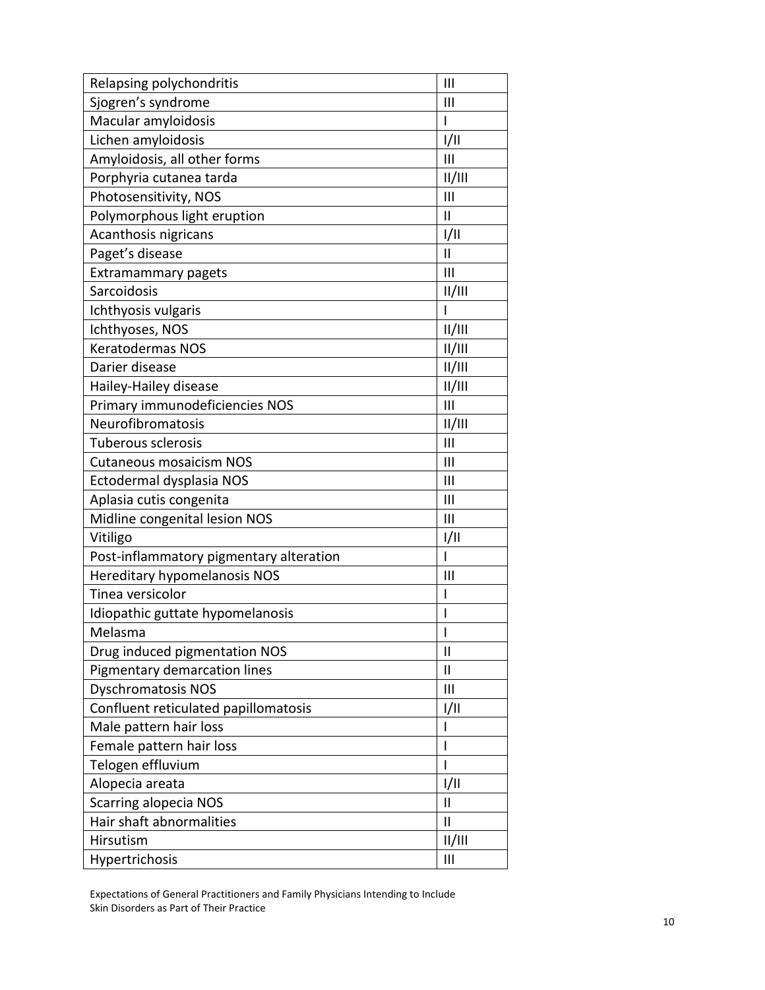| Relapsing polychondritis                | III                      |
|-----------------------------------------|--------------------------|
| Sjogren's syndrome                      | Ш                        |
| Macular amyloidosis                     | I                        |
| Lichen amyloidosis                      | 1/11                     |
| Amyloidosis, all other forms            | $\mathsf{III}$           |
| Porphyria cutanea tarda                 | /                        |
| Photosensitivity, NOS                   | Ш                        |
| Polymorphous light eruption             | $\mathbf{I}$             |
| Acanthosis nigricans                    | I/II                     |
| Paget's disease                         | $\mathsf{II}$            |
| Extramammary pagets                     | III                      |
| Sarcoidosis                             | II/III                   |
| Ichthyosis vulgaris                     | I                        |
| Ichthyoses, NOS                         | /                        |
| <b>Keratodermas NOS</b>                 | /                        |
| Darier disease                          | /                        |
| Hailey-Hailey disease                   | /                        |
| Primary immunodeficiencies NOS          | Ш                        |
| Neurofibromatosis                       | /                        |
| Tuberous sclerosis                      | $\mathbf{III}$           |
| <b>Cutaneous mosaicism NOS</b>          | Ш                        |
| Ectodermal dysplasia NOS                | III                      |
| Aplasia cutis congenita                 | Ш                        |
| Midline congenital lesion NOS           | III                      |
| Vitiligo                                | I/II                     |
| Post-inflammatory pigmentary alteration | I                        |
| Hereditary hypomelanosis NOS            | Ш                        |
| Tinea versicolor                        | $\mathsf{I}$             |
| Idiopathic guttate hypomelanosis        | I                        |
| Melasma                                 | I                        |
| Drug induced pigmentation NOS           | $\mathbf{I}$             |
| Pigmentary demarcation lines            | $\mathbf{I}$             |
| <b>Dyschromatosis NOS</b>               | Ш                        |
| Confluent reticulated papillomatosis    | I/II                     |
| Male pattern hair loss                  | $\overline{\phantom{a}}$ |
| Female pattern hair loss                | $\mathsf{l}$             |
| Telogen effluvium                       | I                        |
| Alopecia areata                         | 1/11                     |
| <b>Scarring alopecia NOS</b>            | $\mathsf{II}$            |
| Hair shaft abnormalities                | Ш                        |
| Hirsutism                               | II/III                   |
| Hypertrichosis                          | Ш                        |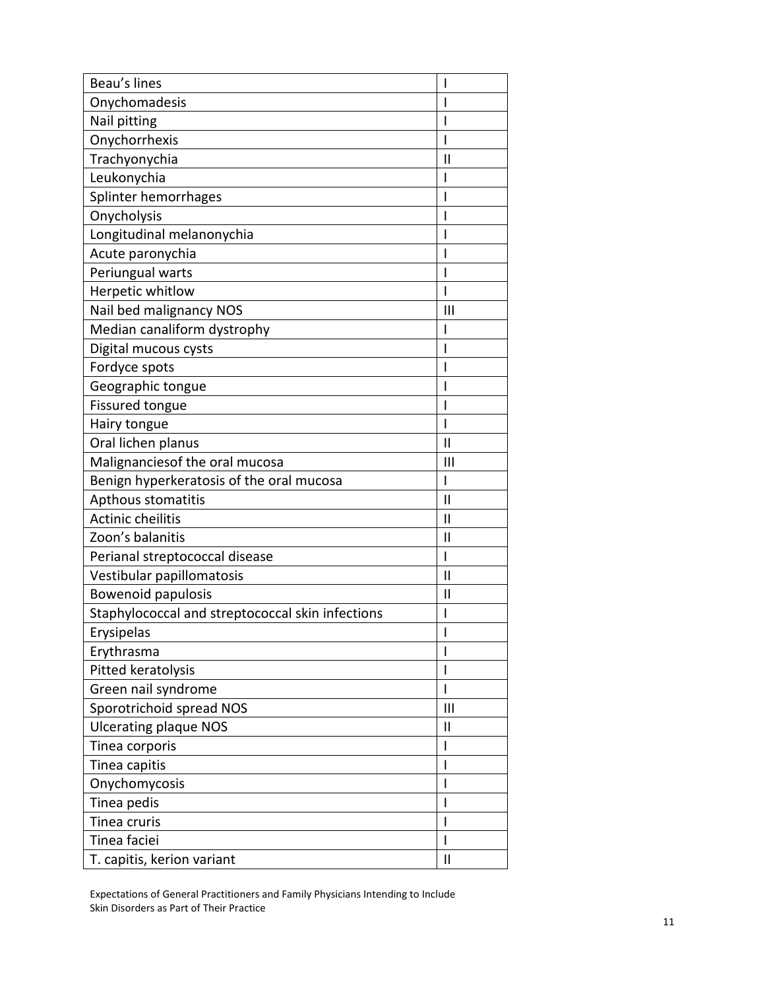| Beau's lines                                     | I                        |
|--------------------------------------------------|--------------------------|
| Onychomadesis                                    | I                        |
| Nail pitting                                     | I                        |
| Onychorrhexis                                    | I                        |
| Trachyonychia                                    | $\mathbf{I}$             |
| Leukonychia                                      | I                        |
| Splinter hemorrhages                             | $\mathsf{l}$             |
| Onycholysis                                      | I                        |
| Longitudinal melanonychia                        | I                        |
| Acute paronychia                                 | I                        |
| Periungual warts                                 | I                        |
| Herpetic whitlow                                 | I                        |
| Nail bed malignancy NOS                          | $\mathbf{III}$           |
| Median canaliform dystrophy                      | I                        |
| Digital mucous cysts                             | I                        |
| Fordyce spots                                    | I                        |
| Geographic tongue                                | I                        |
| Fissured tongue                                  | I                        |
| Hairy tongue                                     | I                        |
| Oral lichen planus                               | $\mathsf{II}$            |
| Malignanciesof the oral mucosa                   | Ш                        |
| Benign hyperkeratosis of the oral mucosa         | $\mathsf{I}$             |
| Apthous stomatitis                               | $\mathsf{II}$            |
| Actinic cheilitis                                | $\mathbf{I}$             |
| Zoon's balanitis                                 | $\mathbf{\mathsf{I}}$    |
| Perianal streptococcal disease                   | $\mathsf{I}$             |
| Vestibular papillomatosis                        | $\mathbf{I}$             |
| <b>Bowenoid papulosis</b>                        | $\mathbf{I}$             |
| Staphylococcal and streptococcal skin infections | I                        |
| Erysipelas                                       | I                        |
| Erythrasma                                       | I                        |
| Pitted keratolysis                               | $\mathsf{l}$             |
| Green nail syndrome                              | $\mathbf{I}$             |
| Sporotrichoid spread NOS                         | $\mathbf{III}$           |
| <b>Ulcerating plaque NOS</b>                     | $\mathbf{I}$             |
| Tinea corporis                                   | $\overline{\phantom{a}}$ |
| Tinea capitis                                    | $\overline{\phantom{a}}$ |
| Onychomycosis                                    | I                        |
| Tinea pedis                                      | I                        |
| Tinea cruris                                     | I                        |
| Tinea faciei                                     | I                        |
| T. capitis, kerion variant                       | $\mathsf{II}$            |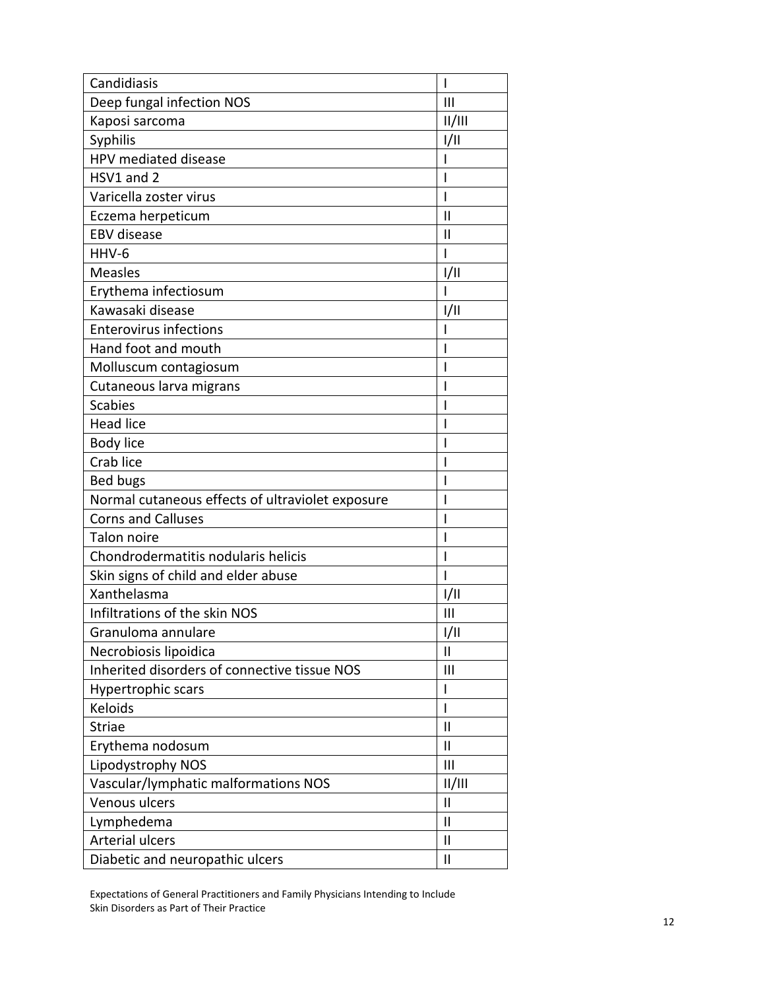| Candidiasis                                      | T                     |
|--------------------------------------------------|-----------------------|
| Deep fungal infection NOS                        | Ш                     |
| Kaposi sarcoma                                   | /                     |
| <b>Syphilis</b>                                  | 1/11                  |
| HPV mediated disease                             | I                     |
| HSV1 and 2                                       | I                     |
| Varicella zoster virus                           | I                     |
| Eczema herpeticum                                | $\mathsf{II}$         |
| <b>EBV</b> disease                               | $\mathbf{I}$          |
| HHV-6                                            | I                     |
| <b>Measles</b>                                   | 1/11                  |
| Erythema infectiosum                             | I                     |
| Kawasaki disease                                 | 1/11                  |
| <b>Enterovirus infections</b>                    | ı                     |
| Hand foot and mouth                              | ı                     |
| Molluscum contagiosum                            | ı                     |
| Cutaneous larva migrans                          |                       |
| <b>Scabies</b>                                   |                       |
| <b>Head lice</b>                                 |                       |
| Body lice                                        |                       |
| Crab lice                                        |                       |
| Bed bugs                                         | I                     |
| Normal cutaneous effects of ultraviolet exposure | ı                     |
| <b>Corns and Calluses</b>                        | ı                     |
| Talon noire                                      | ı                     |
| Chondrodermatitis nodularis helicis              | I                     |
| Skin signs of child and elder abuse              | I                     |
| Xanthelasma                                      | 1/11                  |
| Infiltrations of the skin NOS                    | Ш                     |
| Granuloma annulare                               | 1/11                  |
| Necrobiosis lipoidica                            | $\mathsf{II}$         |
| Inherited disorders of connective tissue NOS     | $\mathbf{III}$        |
| Hypertrophic scars                               | I                     |
| Keloids                                          | I                     |
| <b>Striae</b>                                    | $\mathsf{II}$         |
| Erythema nodosum                                 | Ш                     |
| Lipodystrophy NOS                                | III                   |
| Vascular/lymphatic malformations NOS             | /                     |
| Venous ulcers                                    | $\mathbf{I}$          |
| Lymphedema                                       | $\mathbf{\mathsf{I}}$ |
| <b>Arterial ulcers</b>                           | $\mathbf{I}$          |
| Diabetic and neuropathic ulcers                  | $\mathbf{I}$          |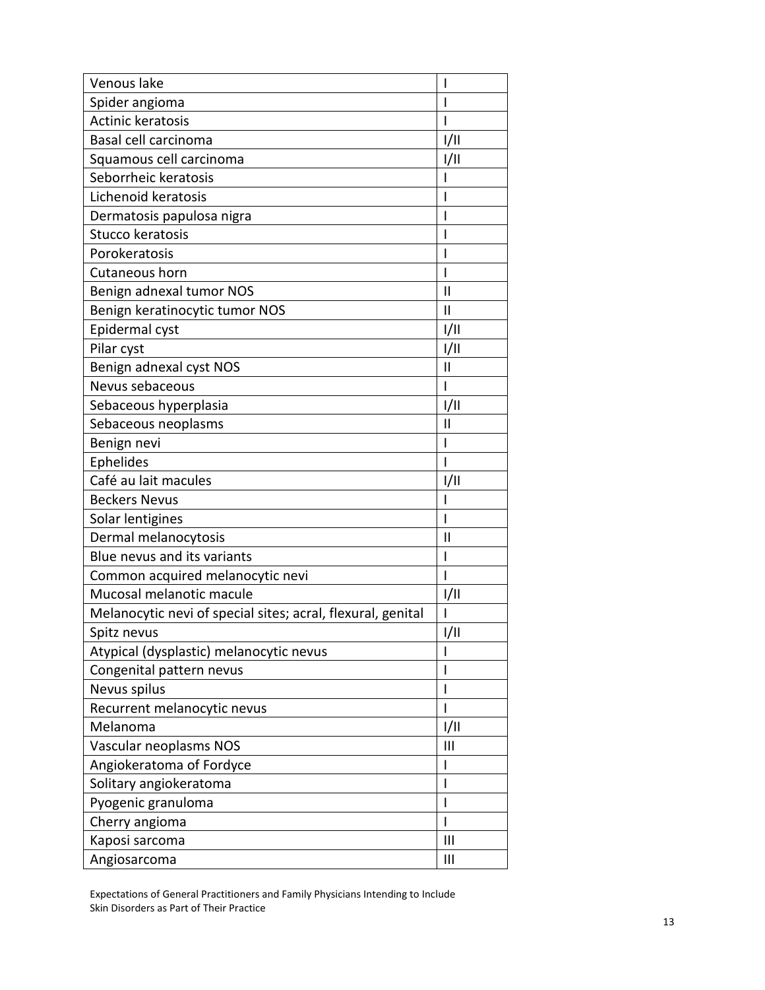| Venous lake                                                 | I              |
|-------------------------------------------------------------|----------------|
| Spider angioma                                              | I              |
| Actinic keratosis                                           | I              |
| Basal cell carcinoma                                        | 1/11           |
| Squamous cell carcinoma                                     | 1/11           |
| Seborrheic keratosis                                        | ı              |
| Lichenoid keratosis                                         | ı              |
| Dermatosis papulosa nigra                                   | ı              |
| Stucco keratosis                                            |                |
| Porokeratosis                                               | ı              |
| Cutaneous horn                                              | I              |
| Benign adnexal tumor NOS                                    | $\mathsf{II}$  |
| Benign keratinocytic tumor NOS                              | $\mathsf{II}$  |
| Epidermal cyst                                              | 1/11           |
| Pilar cyst                                                  | I/II           |
| Benign adnexal cyst NOS                                     | $\mathbf{I}$   |
| Nevus sebaceous                                             | $\mathsf{l}$   |
| Sebaceous hyperplasia                                       | 1/11           |
| Sebaceous neoplasms                                         | Ш              |
| Benign nevi                                                 | I              |
| Ephelides                                                   | ı              |
| Café au lait macules                                        | 1/11           |
| <b>Beckers Nevus</b>                                        |                |
| Solar lentigines                                            |                |
| Dermal melanocytosis                                        | Ш              |
| Blue nevus and its variants                                 | I              |
| Common acquired melanocytic nevi                            | ı              |
| Mucosal melanotic macule                                    | 1/11           |
| Melanocytic nevi of special sites; acral, flexural, genital |                |
| Spitz nevus                                                 | I/II           |
| Atypical (dysplastic) melanocytic nevus                     | I              |
| Congenital pattern nevus                                    | I              |
| Nevus spilus                                                | I              |
| Recurrent melanocytic nevus                                 |                |
| Melanoma                                                    | 1/11           |
| Vascular neoplasms NOS                                      | Ш              |
| Angiokeratoma of Fordyce                                    | $\mathsf{l}$   |
| Solitary angiokeratoma                                      | I              |
| Pyogenic granuloma                                          | I              |
| Cherry angioma                                              | I              |
| Kaposi sarcoma                                              | $\mathbf{III}$ |
| Angiosarcoma                                                | Ш              |